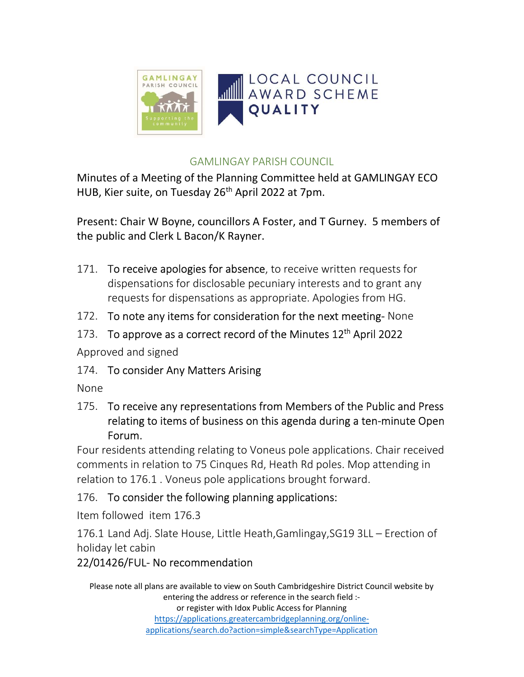

#### GAMLINGAY PARISH COUNCIL

Minutes of a Meeting of the Planning Committee held at GAMLINGAY ECO HUB, Kier suite, on Tuesday 26<sup>th</sup> April 2022 at 7pm.

Present: Chair W Boyne, councillors A Foster, and T Gurney. 5 members of the public and Clerk L Bacon/K Rayner.

- 171. To receive apologies for absence, to receive written requests for dispensations for disclosable pecuniary interests and to grant any requests for dispensations as appropriate. Apologies from HG.
- 172. To note any items for consideration for the next meeting-None
- 173. To approve as a correct record of the Minutes 12<sup>th</sup> April 2022

Approved and signed

174. To consider Any Matters Arising

None

175. To receive any representations from Members of the Public and Press relating to items of business on this agenda during a ten-minute Open Forum.

Four residents attending relating to Voneus pole applications. Chair received comments in relation to 75 Cinques Rd, Heath Rd poles. Mop attending in relation to 176.1 . Voneus pole applications brought forward.

## 176. To consider the following planning applications:

Item followed item 176.3

176.1 Land Adj. Slate House, Little Heath,Gamlingay,SG19 3LL – Erection of holiday let cabin

# 22/01426/FUL- No recommendation

Please note all plans are available to view on South Cambridgeshire District Council website by entering the address or reference in the search field :or register with Idox Public Access for Planning https://applications.greatercambridgeplanning.org/onlineapplications/search.do?action=simple&searchType=Application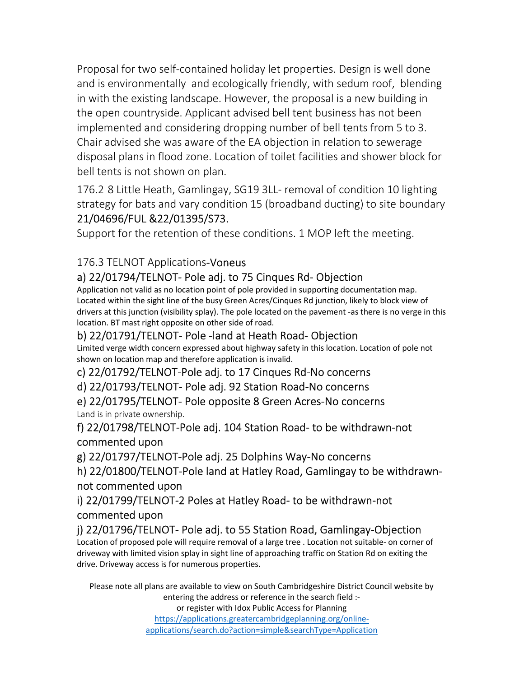Proposal for two self-contained holiday let properties. Design is well done and is environmentally and ecologically friendly, with sedum roof, blending in with the existing landscape. However, the proposal is a new building in the open countryside. Applicant advised bell tent business has not been implemented and considering dropping number of bell tents from 5 to 3. Chair advised she was aware of the EA objection in relation to sewerage disposal plans in flood zone. Location of toilet facilities and shower block for bell tents is not shown on plan.

176.2 8 Little Heath, Gamlingay, SG19 3LL- removal of condition 10 lighting strategy for bats and vary condition 15 (broadband ducting) to site boundary 21/04696/FUL &22/01395/S73.

Support for the retention of these conditions. 1 MOP left the meeting.

### 176.3 TELNOT Applications-Voneus

### a) 22/01794/TELNOT- Pole adj. to 75 Cinques Rd- Objection

Application not valid as no location point of pole provided in supporting documentation map. Located within the sight line of the busy Green Acres/Cinques Rd junction, likely to block view of drivers at this junction (visibility splay). The pole located on the pavement -as there is no verge in this location. BT mast right opposite on other side of road.

#### b) 22/01791/TELNOT- Pole -land at Heath Road- Objection

Limited verge width concern expressed about highway safety in this location. Location of pole not shown on location map and therefore application is invalid.

c) 22/01792/TELNOT-Pole adj. to 17 Cinques Rd-No concerns

d) 22/01793/TELNOT- Pole adj. 92 Station Road-No concerns

e) 22/01795/TELNOT- Pole opposite 8 Green Acres-No concerns Land is in private ownership.

f) 22/01798/TELNOT-Pole adj. 104 Station Road- to be withdrawn-not commented upon

g) 22/01797/TELNOT-Pole adj. 25 Dolphins Way-No concerns

h) 22/01800/TELNOT-Pole land at Hatley Road, Gamlingay to be withdrawnnot commented upon

i) 22/01799/TELNOT-2 Poles at Hatley Road- to be withdrawn-not commented upon

#### j) 22/01796/TELNOT- Pole adj. to 55 Station Road, Gamlingay-Objection

Location of proposed pole will require removal of a large tree . Location not suitable- on corner of driveway with limited vision splay in sight line of approaching traffic on Station Rd on exiting the drive. Driveway access is for numerous properties.

Please note all plans are available to view on South Cambridgeshire District Council website by entering the address or reference in the search field :-

or register with Idox Public Access for Planning

https://applications.greatercambridgeplanning.org/onlineapplications/search.do?action=simple&searchType=Application